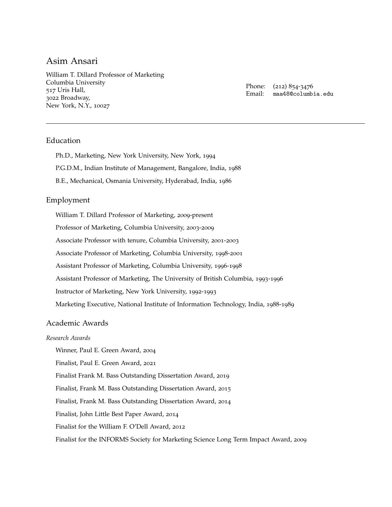William T. Dillard Professor of Marketing [Columbia University](http://www.columbia.edu/) 517 Uris Hall, 3022 Broadway, New York, N.Y., 10027

Phone: (212) 854-3476 Email: [maa48@columbia.edu](mailto:maa48@columbia.edu)

### Education

Ph.D., Marketing, New York University, New York, 1994 P.G.D.M., Indian Institute of Management, Bangalore, India, 1988

B.E., Mechanical, Osmania University, Hyderabad, India, 1986

### Employment

William T. Dillard Professor of Marketing, 2009-present Professor of Marketing, Columbia University, 2003-2009 Associate Professor with tenure, Columbia University, 2001-2003 Associate Professor of Marketing, Columbia University, 1998-2001 Assistant Professor of Marketing, Columbia University, 1996-1998 Assistant Professor of Marketing, The University of British Columbia, 1993-1996 Instructor of Marketing, New York University, 1992-1993 Marketing Executive, National Institute of Information Technology, India, 1988-1989

#### Academic Awards

### *Research Awards*

Winner, Paul E. Green Award, 2004

Finalist, Paul E. Green Award, 2021

Finalist Frank M. Bass Outstanding Dissertation Award, 2019

Finalist, Frank M. Bass Outstanding Dissertation Award, 2015

Finalist, Frank M. Bass Outstanding Dissertation Award, 2014

Finalist, John Little Best Paper Award, 2014

Finalist for the William F. O'Dell Award, 2012

Finalist for the INFORMS Society for Marketing Science Long Term Impact Award, 2009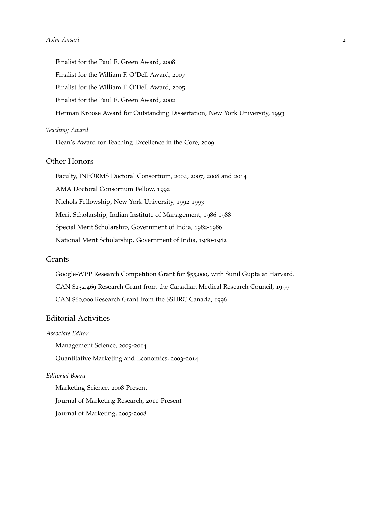Finalist for the Paul E. Green Award, 2008 Finalist for the William F. O'Dell Award, 2007 Finalist for the William F. O'Dell Award, 2005 Finalist for the Paul E. Green Award, 2002 Herman Kroose Award for Outstanding Dissertation, New York University, 1993

#### *Teaching Award*

Dean's Award for Teaching Excellence in the Core, 2009

### Other Honors

Faculty, INFORMS Doctoral Consortium, 2004, 2007, 2008 and 2014 AMA Doctoral Consortium Fellow, 1992 Nichols Fellowship, New York University, 1992-1993 Merit Scholarship, Indian Institute of Management, 1986-1988 Special Merit Scholarship, Government of India, 1982-1986 National Merit Scholarship, Government of India, 1980-1982

### Grants

Google-WPP Research Competition Grant for \$55,000, with Sunil Gupta at Harvard. CAN \$232,469 Research Grant from the Canadian Medical Research Council, 1999 CAN \$60,000 Research Grant from the SSHRC Canada, 1996

### Editorial Activities

#### *Associate Editor*

Management Science, 2009-2014

Quantitative Marketing and Economics, 2003-2014

### *Editorial Board*

Marketing Science, 2008-Present Journal of Marketing Research, 2011-Present Journal of Marketing, 2005-2008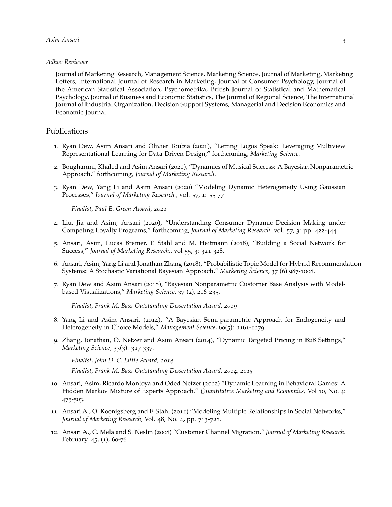#### *Adhoc Reviewer*

Journal of Marketing Research, Management Science, Marketing Science, Journal of Marketing, Marketing Letters, International Journal of Research in Marketing, Journal of Consumer Psychology, Journal of the American Statistical Association, Psychometrika, British Journal of Statistical and Mathematical Psychology, Journal of Business and Economic Statistics, The Journal of Regional Science, The International Journal of Industrial Organization, Decision Support Systems, Managerial and Decision Economics and Economic Journal.

### Publications

- 1. Ryan Dew, Asim Ansari and Olivier Toubia (2021), "Letting Logos Speak: Leveraging Multiview Representational Learning for Data-Driven Design," forthcoming, *Marketing Science.*
- 2. Boughanmi, Khaled and Asim Ansari (2021), "Dynamics of Musical Success: A Bayesian Nonparametric Approach," forthcoming, *Journal of Marketing Research*.
- 3. Ryan Dew, Yang Li and Asim Ansari (2020) "Modeling Dynamic Heterogeneity Using Gaussian Processes," *Journal of Marketing Research.*, vol. 57, 1: 55-77

*Finalist, Paul E. Green Award, 2021*

- 4. Liu, Jia and Asim, Ansari (2020), "Understanding Consumer Dynamic Decision Making under Competing Loyalty Programs," forthcoming, *Journal of Marketing Research.* vol. 57, 3: pp. 422-444.
- 5. Ansari, Asim, Lucas Bremer, F. Stahl and M. Heitmann (2018), "Building a Social Network for Success," *Journal of Marketing Research.*, vol 55, 3: 321-328.
- 6. Ansari, Asim, Yang Li and Jonathan Zhang (2018), "Probabilistic Topic Model for Hybrid Recommendation Systems: A Stochastic Variational Bayesian Approach," *Marketing Science*, 37 (6) 987-1008.
- 7. Ryan Dew and Asim Ansari (2018), "Bayesian Nonparametric Customer Base Analysis with Modelbased Visualizations," *Marketing Science*, 37 (2), 216-235.

*Finalist, Frank M. Bass Outstanding Dissertation Award, 2019*

- 8. Yang Li and Asim Ansari, (2014), "A Bayesian Semi-parametric Approach for Endogeneity and Heterogeneity in Choice Models," *Management Science*, 60(5): 1161-1179.
- 9. Zhang, Jonathan, O. Netzer and Asim Ansari (2014), "Dynamic Targeted Pricing in B2B Settings," *Marketing Science*, 33(3): 317-337.

*Finalist, John D. C. Little Award, 2014*

*Finalist, Frank M. Bass Outstanding Dissertation Award, 2014, 2015*

- 10. Ansari, Asim, Ricardo Montoya and Oded Netzer (2012) "Dynamic Learning in Behavioral Games: A Hidden Markov Mixture of Experts Approach." *Quantitative Marketing and Economics,* Vol 10, No. 4: 475-503.
- 11. Ansari A., O. Koenigsberg and F. Stahl (2011) "Modeling Multiple Relationships in Social Networks," *Journal of Marketing Research,* Vol. 48, No. 4, pp. 713-728.
- 12. Ansari A., C. Mela and S. Neslin (2008) "Customer Channel Migration," *Journal of Marketing Research*. February. 45, (1), 60-76.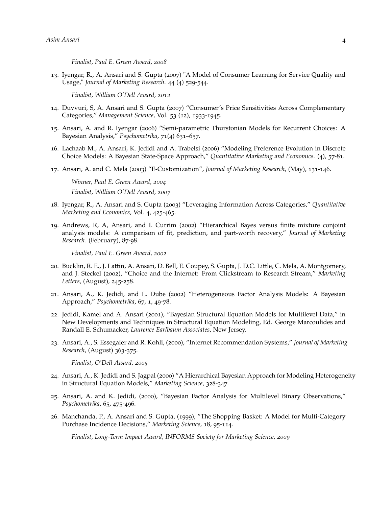*Finalist, Paul E. Green Award, 2008*

13. Iyengar, R., A. Ansari and S. Gupta (2007) "A Model of Consumer Learning for Service Quality and Usage," *Journal of Marketing Research*. 44 (4) 529-544.

*Finalist, William O'Dell Award, 2012*

- 14. Duvvuri, S, A. Ansari and S. Gupta (2007) "Consumer's Price Sensitivities Across Complementary Categories," *Management Science*, Vol. 53 (12), 1933-1945.
- 15. Ansari, A. and R. Iyengar (2006) "Semi-parametric Thurstonian Models for Recurrent Choices: A Bayesian Analysis," *Psychometrika*, 71(4) 631–657.
- 16. Lachaab M., A. Ansari, K. Jedidi and A. Trabelsi (2006) "Modeling Preference Evolution in Discrete Choice Models: A Bayesian State-Space Approach," *Quantitative Marketing and Economics.* (4), 57-81.
- 17. Ansari, A. and C. Mela (2003) "E-Customization", *Journal of Marketing Research*, (May), 131-146.

*Winner, Paul E. Green Award, 2004 Finalist, William O'Dell Award, 2007*

- 18. Iyengar, R., A. Ansari and S. Gupta (2003) "Leveraging Information Across Categories," *Quantitative Marketing and Economics*, Vol. 4, 425-465.
- 19. Andrews, R, A, Ansari, and I. Currim (2002) "Hierarchical Bayes versus finite mixture conjoint analysis models: A comparison of fit, prediction, and part-worth recovery," *Journal of Marketing Research*. (February), 87-98.

*Finalist, Paul E. Green Award, 2002*

- 20. Bucklin, R. E., J. Lattin, A. Ansari, D. Bell, E. Coupey, S. Gupta, J. D.C. Little, C. Mela, A. Montgomery, and J. Steckel (2002), "Choice and the Internet: From Clickstream to Research Stream," *Marketing Letters*, (August), 245-258.
- 21. Ansari, A., K. Jedidi, and L. Dube (2002) "Heterogeneous Factor Analysis Models: A Bayesian Approach," *Psychometrika*, 67, 1, 49-78.
- 22. Jedidi, Kamel and A. Ansari (2001), "Bayesian Structural Equation Models for Multilevel Data," in New Developments and Techniques in Structural Equation Modeling, Ed. George Marcoulides and Randall E. Schumacker, *Laurence Earlbaum Associates*, New Jersey.
- 23. Ansari, A., S. Essegaier and R. Kohli, (2000), "Internet Recommendation Systems," *Journal of Marketing Research*, (August) 363-375.

*Finalist, O'Dell Award, 2005*

- 24. Ansari, A., K. Jedidi and S. Jagpal (2000) "A Hierarchical Bayesian Approach for Modeling Heterogeneity in Structural Equation Models," *Marketing Science*, 328-347.
- 25. Ansari, A. and K. Jedidi, (2000), "Bayesian Factor Analysis for Multilevel Binary Observations," *Psychometrika*, 65, 475-496.
- 26. Manchanda, P., A. Ansari and S. Gupta, (1999), "The Shopping Basket: A Model for Multi-Category Purchase Incidence Decisions," *Marketing Science*, 18, 95-114.

*Finalist, Long-Term Impact Award, INFORMS Society for Marketing Science, 2009*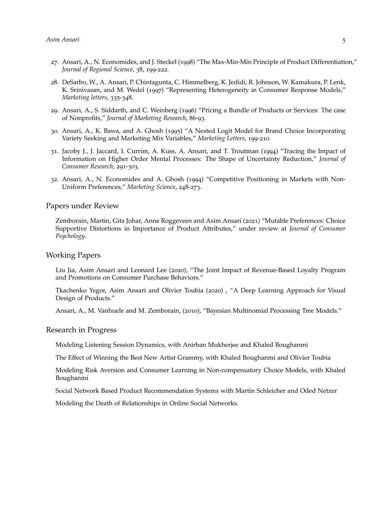- 27. Ansari, A., N. Economides, and J. Steckel (1998) "The Max-Min-Min Principle of Product Differentiation," *Journal of Regional Science*, 38, 199-222.
- 28. DeSarbo, W., A. Ansari, P. Chintagunta, C. Himmelberg, K. Jedidi, R. Johnson, W. Kamakura, P. Lenk, K. Srinivasan, and M. Wedel (1997) "Representing Heterogeneity in Consumer Response Models," *Marketing letters*, 335-348.
- 29. Ansari, A., S. Siddarth, and C. Weinberg (1996) "Pricing a Bundle of Products or Services: The case of Nonprofits," *Journal of Marketing Research*, 86-93.
- 30. Ansari, A., K. Bawa, and A. Ghosh (1995) "A Nested Logit Model for Brand Choice Incorporating Variety Seeking and Marketing Mix Variables," *Marketing Letters*, 199-210.
- 31. Jacoby J., J. Jaccard, I. Currim, A. Kuss, A. Ansari, and T. Troutman (1994) "Tracing the Impact of Information on Higher Order Mental Processes: The Shape of Uncertainty Reduction," *Journal of Consumer Research*, 291-303.
- 32. Ansari, A., N. Economides and A. Ghosh (1994) "Competitive Positioning in Markets with Non-Uniform Preferences," *Marketing Science*, 248-273.

#### Papers under Review

Zemborain, Martin, Gita Johar, Anne Roggeveen and Asim Ansari (2021) "Mutable Preferences: Choice Supportive Distortions in Importance of Product Attributes," under review at *Journal of Consumer Psychology*.

#### Working Papers

Liu Jia, Asim Ansari and Leonard Lee (2020), "The Joint Impact of Revenue-Based Loyalty Program and Promotions on Consumer Purchase Behaviors."

Tkachenko Yegor, Asim Ansari and Olivier Toubia (2020) , "A Deep Learning Approach for Visual Design of Products."

Ansari, A., M. Vanhuele and M. Zemborain, (2010), "Bayesian Multinomial Processing Tree Models."

#### Research in Progress

Modeling Listening Session Dynamics, with Anirban Mukherjee and Khaled Boughanmi

The Effect of Winning the Best New Artist Grammy, with Khaled Boughanmi and Olivier Toubia

Modeling Risk Aversion and Consumer Learning in Non-compensatory Choice Models, with Khaled Boughanmi

Social Network Based Product Recommendation Systems with Martin Schleicher and Oded Netzer

Modeling the Death of Relationships in Online Social Networks.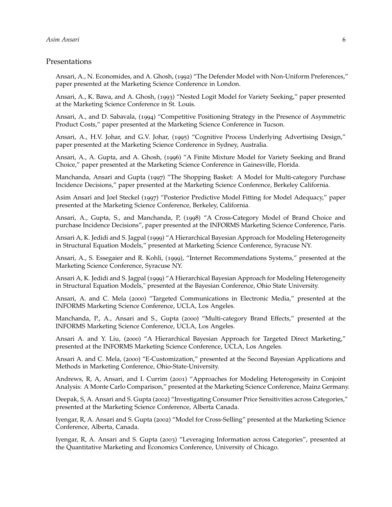#### Presentations

Ansari, A., N. Economides, and A. Ghosh, (1992) "The Defender Model with Non-Uniform Preferences," paper presented at the Marketing Science Conference in London.

Ansari, A., K. Bawa, and A. Ghosh, (1993) "Nested Logit Model for Variety Seeking," paper presented at the Marketing Science Conference in St. Louis.

Ansari, A., and D. Sabavala, (1994) "Competitive Positioning Strategy in the Presence of Asymmetric Product Costs," paper presented at the Marketing Science Conference in Tucson.

Ansari, A., H.V. Johar, and G.V. Johar, (1995) "Cognitive Process Underlying Advertising Design," paper presented at the Marketing Science Conference in Sydney, Australia.

Ansari, A., A. Gupta, and A. Ghosh, (1996) "A Finite Mixture Model for Variety Seeking and Brand Choice," paper presented at the Marketing Science Conference in Gainesville, Florida.

Manchanda, Ansari and Gupta (1997) "The Shopping Basket: A Model for Multi-category Purchase Incidence Decisions," paper presented at the Marketing Science Conference, Berkeley California.

Asim Ansari and Joel Steckel (1997) "Posterior Predictive Model Fitting for Model Adequacy," paper presented at the Marketing Science Conference, Berkeley, California.

Ansari, A., Gupta, S., and Manchanda, P, (1998) "A Cross-Category Model of Brand Choice and purchase Incidence Decisions", paper presented at the INFORMS Marketing Science Conference, Paris.

Ansari A, K. Jedidi and S. Jagpal (1999) "A Hierarchical Bayesian Approach for Modeling Heterogeneity in Structural Equation Models," presented at Marketing Science Conference, Syracuse NY.

Ansari, A., S. Essegaier and R. Kohli, (1999), "Internet Recommendations Systems," presented at the Marketing Science Conference, Syracuse NY.

Ansari A, K. Jedidi and S. Jagpal (1999) "A Hierarchical Bayesian Approach for Modeling Heterogeneity in Structural Equation Models," presented at the Bayesian Conference, Ohio State University.

Ansari, A. and C. Mela (2000) "Targeted Communications in Electronic Media," presented at the INFORMS Marketing Science Conference, UCLA, Los Angeles.

Manchanda, P., A., Ansari and S., Gupta (2000) "Multi-category Brand Effects," presented at the INFORMS Marketing Science Conference, UCLA, Los Angeles.

Ansari A. and Y. Liu, (2000) "A Hierarchical Bayesian Approach for Targeted Direct Marketing," presented at the INFORMS Marketing Science Conference, UCLA, Los Angeles.

Ansari A. and C. Mela, (2000) "E-Customization," presented at the Second Bayesian Applications and Methods in Marketing Conference, Ohio-State-University.

Andrews, R, A, Ansari, and I. Currim (2001) "Approaches for Modeling Heterogeneity in Conjoint Analysis: A Monte Carlo Comparison," presented at the Marketing Science Conference, Mainz Germany.

Deepak, S, A. Ansari and S. Gupta (2002) "Investigating Consumer Price Sensitivities across Categories," presented at the Marketing Science Conference, Alberta Canada.

Iyengar, R, A. Ansari and S. Gupta (2002) "Model for Cross-Selling" presented at the Marketing Science Conference, Alberta, Canada.

Iyengar, R, A. Ansari and S. Gupta (2003) "Leveraging Information across Categories", presented at the Quantitative Marketing and Economics Conference, University of Chicago.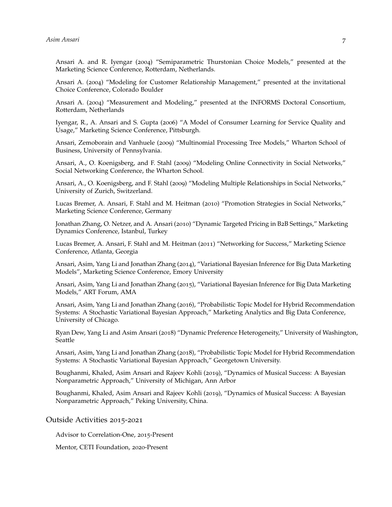Ansari A. and R. Iyengar (2004) "Semiparametric Thurstonian Choice Models," presented at the Marketing Science Conference, Rotterdam, Netherlands.

Ansari A. (2004) "Modeling for Customer Relationship Management," presented at the invitational Choice Conference, Colorado Boulder

Ansari A. (2004) "Measurement and Modeling," presented at the INFORMS Doctoral Consortium, Rotterdam, Netherlands

Iyengar, R., A. Ansari and S. Gupta (2006) "A Model of Consumer Learning for Service Quality and Usage," Marketing Science Conference, Pittsburgh.

Ansari, Zemoborain and Vanhuele (2009) "Multinomial Processing Tree Models," Wharton School of Business, University of Pennsylvania.

Ansari, A., O. Koenigsberg, and F. Stahl (2009) "Modeling Online Connectivity in Social Networks," Social Networking Conference, the Wharton School.

Ansari, A., O. Koenigsberg, and F. Stahl (2009) "Modeling Multiple Relationships in Social Networks," University of Zurich, Switzerland.

Lucas Bremer, A. Ansari, F. Stahl and M. Heitman (2010) "Promotion Strategies in Social Networks," Marketing Science Conference, Germany

Jonathan Zhang, O. Netzer, and A. Ansari (2010) "Dynamic Targeted Pricing in B2B Settings," Marketing Dynamics Conference, Istanbul, Turkey

Lucas Bremer, A. Ansari, F. Stahl and M. Heitman (2011) "Networking for Success," Marketing Science Conference, Atlanta, Georgia

Ansari, Asim, Yang Li and Jonathan Zhang (2014), "Variational Bayesian Inference for Big Data Marketing Models", Marketing Science Conference, Emory University

Ansari, Asim, Yang Li and Jonathan Zhang (2015), "Variational Bayesian Inference for Big Data Marketing Models," ART Forum, AMA

Ansari, Asim, Yang Li and Jonathan Zhang (2016), "Probabilistic Topic Model for Hybrid Recommendation Systems: A Stochastic Variational Bayesian Approach," Marketing Analytics and Big Data Conference, University of Chicago.

Ryan Dew, Yang Li and Asim Ansari (2018) "Dynamic Preference Heterogeneity," University of Washington, Seattle

Ansari, Asim, Yang Li and Jonathan Zhang (2018), "Probabilistic Topic Model for Hybrid Recommendation Systems: A Stochastic Variational Bayesian Approach," Georgetown University.

Boughanmi, Khaled, Asim Ansari and Rajeev Kohli (2019), "Dynamics of Musical Success: A Bayesian Nonparametric Approach," University of Michigan, Ann Arbor

Boughanmi, Khaled, Asim Ansari and Rajeev Kohli (2019), "Dynamics of Musical Success: A Bayesian Nonparametric Approach," Peking University, China.

Outside Activities 2015-2021

Advisor to Correlation-One, 2015-Present

Mentor, CETI Foundation, 2020-Present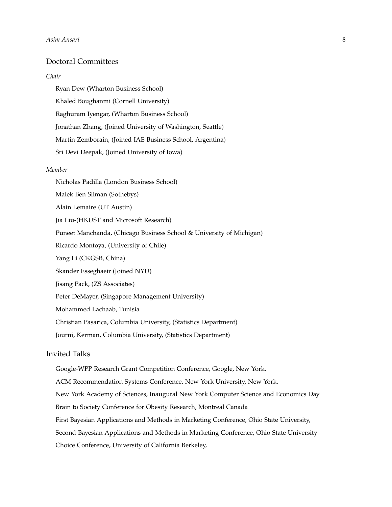## Doctoral Committees

#### *Chair*

Ryan Dew (Wharton Business School) Khaled Boughanmi (Cornell University) Raghuram Iyengar, (Wharton Business School) Jonathan Zhang, (Joined University of Washington, Seattle) Martin Zemborain, (Joined IAE Business School, Argentina) Sri Devi Deepak, (Joined University of Iowa)

#### *Member*

Nicholas Padilla (London Business School) Malek Ben Sliman (Sothebys) Alain Lemaire (UT Austin) Jia Liu-(HKUST and Microsoft Research) Puneet Manchanda, (Chicago Business School & University of Michigan) Ricardo Montoya, (University of Chile) Yang Li (CKGSB, China) Skander Esseghaeir (Joined NYU) Jisang Pack, (ZS Associates) Peter DeMayer, (Singapore Management University) Mohammed Lachaab, Tunisia Christian Pasarica, Columbia University, (Statistics Department) Journi, Kerman, Columbia University, (Statistics Department)

### Invited Talks

Google-WPP Research Grant Competition Conference, Google, New York. ACM Recommendation Systems Conference, New York University, New York. New York Academy of Sciences, Inaugural New York Computer Science and Economics Day Brain to Society Conference for Obesity Research, Montreal Canada First Bayesian Applications and Methods in Marketing Conference, Ohio State University, Second Bayesian Applications and Methods in Marketing Conference, Ohio State University Choice Conference, University of California Berkeley,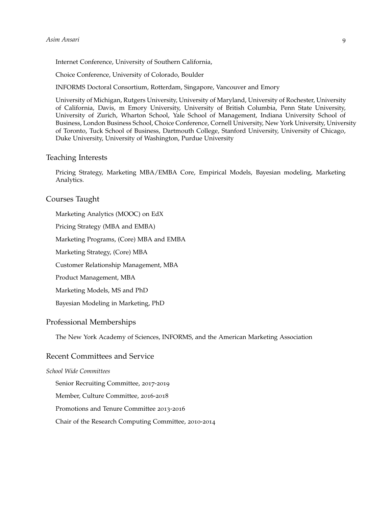Internet Conference, University of Southern California,

Choice Conference, University of Colorado, Boulder

INFORMS Doctoral Consortium, Rotterdam, Singapore, Vancouver and Emory

University of Michigan, Rutgers University, University of Maryland, University of Rochester, University of California, Davis, m Emory University, University of British Columbia, Penn State University, University of Zurich, Wharton School, Yale School of Management, Indiana University School of Business, London Business School, Choice Conference, Cornell University, New York University, University of Toronto, Tuck School of Business, Dartmouth College, Stanford University, University of Chicago, Duke University, University of Washington, Purdue University

# Teaching Interests

Pricing Strategy, Marketing MBA/EMBA Core, Empirical Models, Bayesian modeling, Marketing Analytics.

#### Courses Taught

Marketing Analytics (MOOC) on EdX

Pricing Strategy (MBA and EMBA)

Marketing Programs, (Core) MBA and EMBA

Marketing Strategy, (Core) MBA

Customer Relationship Management, MBA

Product Management, MBA

Marketing Models, MS and PhD

Bayesian Modeling in Marketing, PhD

## Professional Memberships

The New York Academy of Sciences, INFORMS, and the American Marketing Association

### Recent Committees and Service

#### *School Wide Committees*

Senior Recruiting Committee, 2017-2019

Member, Culture Committee, 2016-2018

Promotions and Tenure Committee 2013-2016

Chair of the Research Computing Committee, 2010-2014